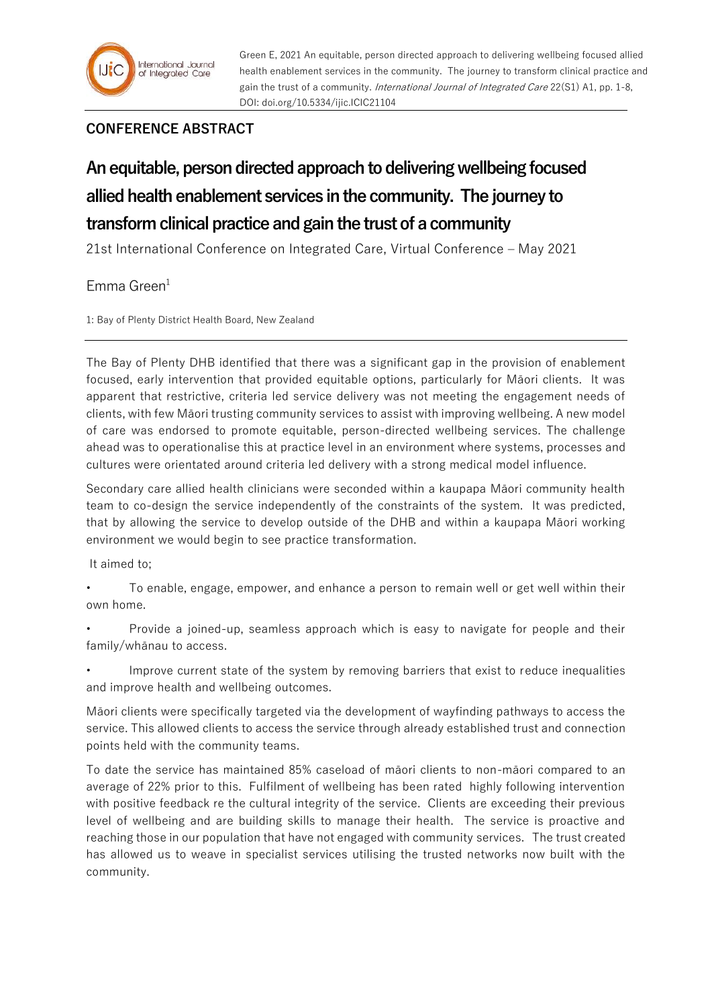Green E, 2021 An equitable, person directed approach to delivering wellbeing focused allied health enablement services in the community. The journey to transform clinical practice and gain the trust of a community. International Journal of Integrated Care 22(S1) A1, pp. 1-8, DOI: doi.org/10.5334/ijic.ICIC21104

## **CONFERENCE ABSTRACT**

## **An equitable, person directed approach to delivering wellbeing focused allied health enablement services in the community. The journey to transform clinical practice and gain the trust of a community**

21st International Conference on Integrated Care, Virtual Conference – May 2021

## $F$ mma Green $<sup>1</sup>$ </sup>

1: Bay of Plenty District Health Board, New Zealand

The Bay of Plenty DHB identified that there was a significant gap in the provision of enablement focused, early intervention that provided equitable options, particularly for Māori clients. It was apparent that restrictive, criteria led service delivery was not meeting the engagement needs of clients, with few Māori trusting community services to assist with improving wellbeing. A new model of care was endorsed to promote equitable, person-directed wellbeing services. The challenge ahead was to operationalise this at practice level in an environment where systems, processes and cultures were orientated around criteria led delivery with a strong medical model influence.

Secondary care allied health clinicians were seconded within a kaupapa Māori community health team to co-design the service independently of the constraints of the system. It was predicted, that by allowing the service to develop outside of the DHB and within a kaupapa Māori working environment we would begin to see practice transformation.

It aimed to;

- To enable, engage, empower, and enhance a person to remain well or get well within their own home.
- Provide a joined-up, seamless approach which is easy to navigate for people and their family/whānau to access.
- Improve current state of the system by removing barriers that exist to reduce inequalities and improve health and wellbeing outcomes.
- Māori clients were specifically targeted via the development of wayfinding pathways to access the service. This allowed clients to access the service through already established trust and connection points held with the community teams.
- To date the service has maintained 85% caseload of māori clients to non-māori compared to an average of 22% prior to this. Fulfilment of wellbeing has been rated highly following intervention with positive feedback re the cultural integrity of the service. Clients are exceeding their previous level of wellbeing and are building skills to manage their health. The service is proactive and reaching those in our population that have not engaged with community services. The trust created has allowed us to weave in specialist services utilising the trusted networks now built with the community.